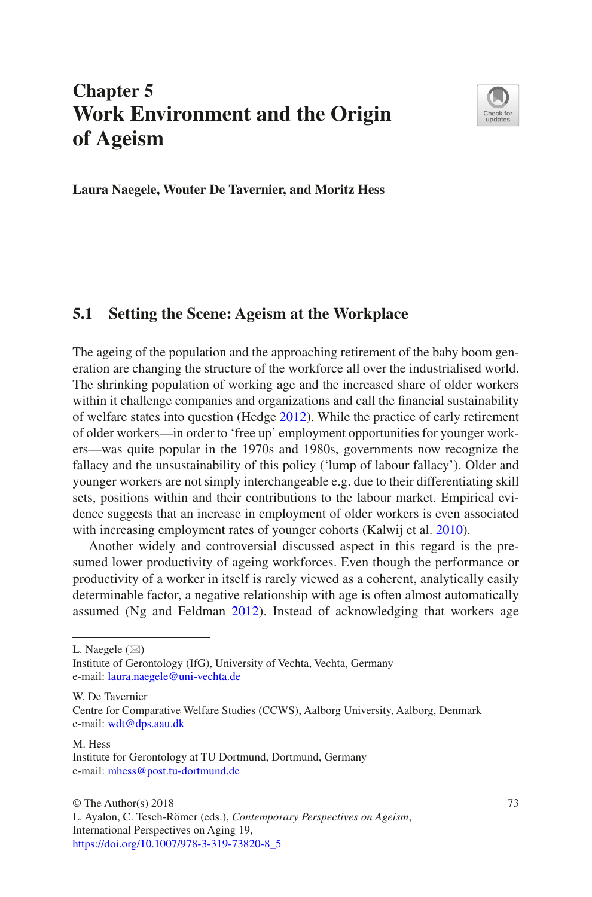# **Chapter 5 Work Environment and the Origin of Ageism**



**Laura Naegele, Wouter De Tavernier, and Moritz Hess**

## **5.1 Setting the Scene: Ageism at the Workplace**

The ageing of the population and the approaching retirement of the baby boom generation are changing the structure of the workforce all over the industrialised world. The shrinking population of working age and the increased share of older workers within it challenge companies and organizations and call the financial sustainability of welfare states into question (Hedge [2012\)](#page-14-0). While the practice of early retirement of older workers—in order to 'free up' employment opportunities for younger workers—was quite popular in the 1970s and 1980s, governments now recognize the fallacy and the unsustainability of this policy ('lump of labour fallacy'). Older and younger workers are not simply interchangeable e.g. due to their differentiating skill sets, positions within and their contributions to the labour market. Empirical evidence suggests that an increase in employment of older workers is even associated with increasing employment rates of younger cohorts (Kalwij et al. [2010\)](#page-14-1).

Another widely and controversial discussed aspect in this regard is the presumed lower productivity of ageing workforces. Even though the performance or productivity of a worker in itself is rarely viewed as a coherent, analytically easily determinable factor, a negative relationship with age is often almost automatically assumed (Ng and Feldman [2012](#page-16-0)). Instead of acknowledging that workers age

L. Naegele  $(\boxtimes)$ 

W. De Tavernier

M. Hess

© The Author(s) 2018 73

Institute of Gerontology (IfG), University of Vechta, Vechta, Germany e-mail: [laura.naegele@uni-vechta.de](mailto:laura.naegele@uni-vechta.de)

Centre for Comparative Welfare Studies (CCWS), Aalborg University, Aalborg, Denmark e-mail: [wdt@dps.aau.dk](mailto:wdt@dps.aau.dk)

Institute for Gerontology at TU Dortmund, Dortmund, Germany e-mail: [mhess@post.tu-dortmund.de](mailto:mhess@post.tu-dortmund.de)

L. Ayalon, C. Tesch-Römer (eds.), *Contemporary Perspectives on Ageism*, International Perspectives on Aging 19, [https://doi.org/10.1007/978-3-319-73820-8\\_5](https://doi.org/10.1007/978-3-319-73820-8_5)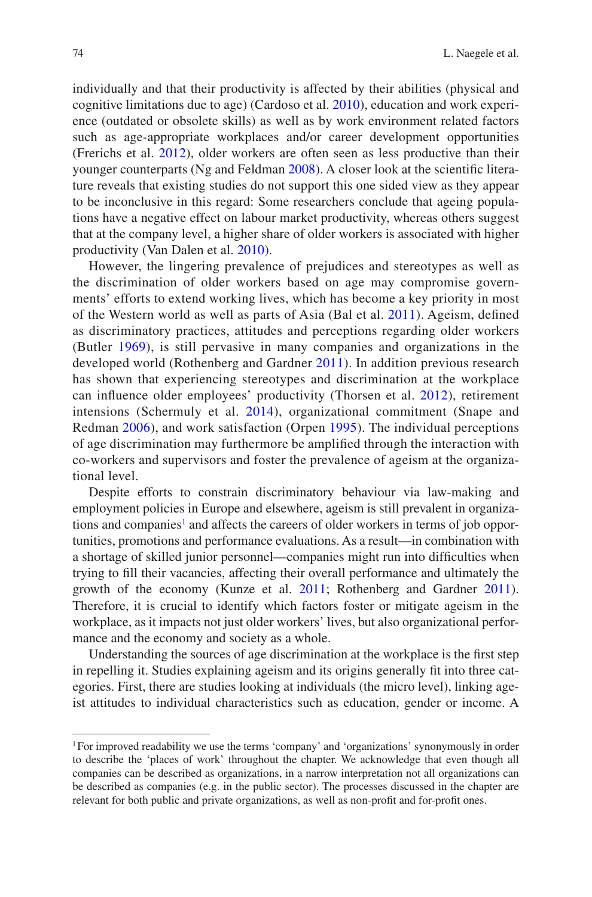individually and that their productivity is affected by their abilities (physical and cognitive limitations due to age) (Cardoso et al. [2010](#page-14-2)), education and work experience (outdated or obsolete skills) as well as by work environment related factors such as age-appropriate workplaces and/or career development opportunities (Frerichs et al. [2012](#page-14-3)), older workers are often seen as less productive than their younger counterparts (Ng and Feldman [2008](#page-15-0)). A closer look at the scientific literature reveals that existing studies do not support this one sided view as they appear to be inconclusive in this regard: Some researchers conclude that ageing populations have a negative effect on labour market productivity, whereas others suggest that at the company level, a higher share of older workers is associated with higher productivity (Van Dalen et al. [2010](#page-17-0)).

However, the lingering prevalence of prejudices and stereotypes as well as the discrimination of older workers based on age may compromise governments' efforts to extend working lives, which has become a key priority in most of the Western world as well as parts of Asia (Bal et al. [2011\)](#page-13-0). Ageism, defined as discriminatory practices, attitudes and perceptions regarding older workers (Butler [1969](#page-13-1)), is still pervasive in many companies and organizations in the developed world (Rothenberg and Gardner [2011](#page-16-1)). In addition previous research has shown that experiencing stereotypes and discrimination at the workplace can influence older employees' productivity (Thorsen et al. [2012\)](#page-17-1), retirement intensions (Schermuly et al. [2014\)](#page-16-2), organizational commitment (Snape and Redman [2006\)](#page-16-3), and work satisfaction (Orpen [1995](#page-16-4)). The individual perceptions of age discrimination may furthermore be amplified through the interaction with co-workers and supervisors and foster the prevalence of ageism at the organizational level.

Despite efforts to constrain discriminatory behaviour via law-making and employment policies in Europe and elsewhere, ageism is still prevalent in organizations and companies<sup>1</sup> and affects the careers of older workers in terms of job opportunities, promotions and performance evaluations. As a result—in combination with a shortage of skilled junior personnel—companies might run into difficulties when trying to fill their vacancies, affecting their overall performance and ultimately the growth of the economy (Kunze et al. [2011](#page-15-1); Rothenberg and Gardner [2011\)](#page-16-1). Therefore, it is crucial to identify which factors foster or mitigate ageism in the workplace, as it impacts not just older workers' lives, but also organizational performance and the economy and society as a whole.

Understanding the sources of age discrimination at the workplace is the first step in repelling it. Studies explaining ageism and its origins generally fit into three categories. First, there are studies looking at individuals (the micro level), linking ageist attitudes to individual characteristics such as education, gender or income. A

<span id="page-1-0"></span><sup>1</sup>For improved readability we use the terms 'company' and 'organizations' synonymously in order to describe the 'places of work' throughout the chapter. We acknowledge that even though all companies can be described as organizations, in a narrow interpretation not all organizations can be described as companies (e.g. in the public sector). The processes discussed in the chapter are relevant for both public and private organizations, as well as non-profit and for-profit ones.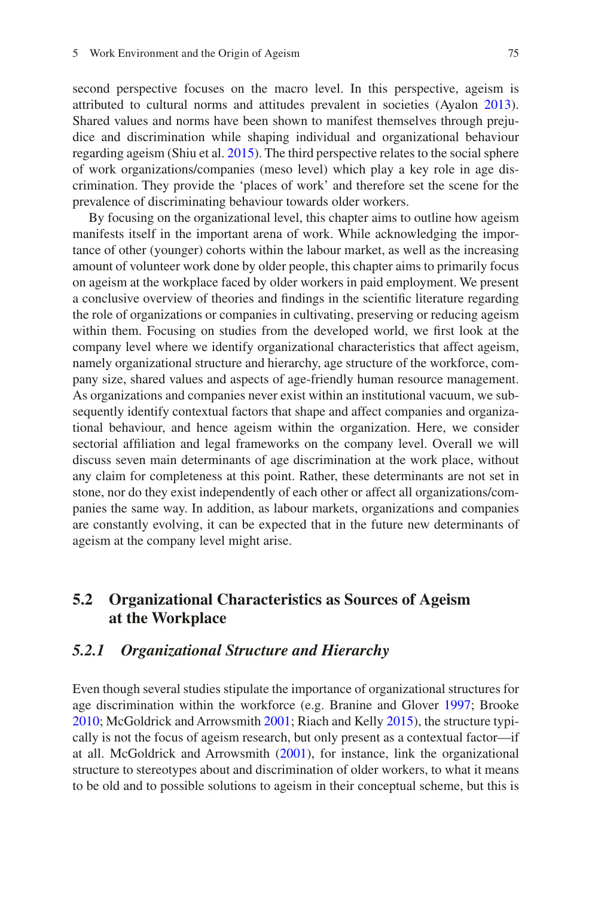second perspective focuses on the macro level. In this perspective, ageism is attributed to cultural norms and attitudes prevalent in societies (Ayalon [2013\)](#page-13-2). Shared values and norms have been shown to manifest themselves through prejudice and discrimination while shaping individual and organizational behaviour regarding ageism (Shiu et al. [2015\)](#page-16-5). The third perspective relates to the social sphere of work organizations/companies (meso level) which play a key role in age discrimination. They provide the 'places of work' and therefore set the scene for the prevalence of discriminating behaviour towards older workers.

By focusing on the organizational level, this chapter aims to outline how ageism manifests itself in the important arena of work. While acknowledging the importance of other (younger) cohorts within the labour market, as well as the increasing amount of volunteer work done by older people, this chapter aims to primarily focus on ageism at the workplace faced by older workers in paid employment. We present a conclusive overview of theories and findings in the scientific literature regarding the role of organizations or companies in cultivating, preserving or reducing ageism within them. Focusing on studies from the developed world, we first look at the company level where we identify organizational characteristics that affect ageism, namely organizational structure and hierarchy, age structure of the workforce, company size, shared values and aspects of age-friendly human resource management. As organizations and companies never exist within an institutional vacuum, we subsequently identify contextual factors that shape and affect companies and organizational behaviour, and hence ageism within the organization. Here, we consider sectorial affiliation and legal frameworks on the company level. Overall we will discuss seven main determinants of age discrimination at the work place, without any claim for completeness at this point. Rather, these determinants are not set in stone, nor do they exist independently of each other or affect all organizations/companies the same way. In addition, as labour markets, organizations and companies are constantly evolving, it can be expected that in the future new determinants of ageism at the company level might arise.

# **5.2 Organizational Characteristics as Sources of Ageism at the Workplace**

#### *5.2.1 Organizational Structure and Hierarchy*

Even though several studies stipulate the importance of organizational structures for age discrimination within the workforce (e.g. Branine and Glover [1997;](#page-13-3) Brooke [2010;](#page-13-4) McGoldrick and Arrowsmith [2001](#page-15-2); Riach and Kelly [2015](#page-16-6)), the structure typically is not the focus of ageism research, but only present as a contextual factor—if at all. McGoldrick and Arrowsmith ([2001\)](#page-15-2), for instance, link the organizational structure to stereotypes about and discrimination of older workers, to what it means to be old and to possible solutions to ageism in their conceptual scheme, but this is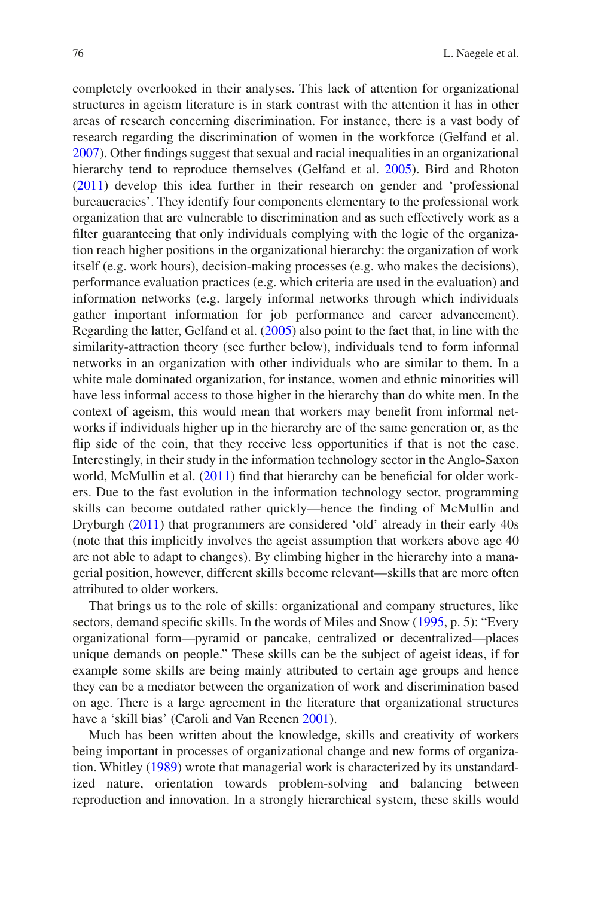completely overlooked in their analyses. This lack of attention for organizational structures in ageism literature is in stark contrast with the attention it has in other areas of research concerning discrimination. For instance, there is a vast body of research regarding the discrimination of women in the workforce (Gelfand et al. [2007\)](#page-14-4). Other findings suggest that sexual and racial inequalities in an organizational hierarchy tend to reproduce themselves (Gelfand et al. [2005\)](#page-14-5). Bird and Rhoton [\(2011](#page-13-5)) develop this idea further in their research on gender and 'professional bureaucracies'. They identify four components elementary to the professional work organization that are vulnerable to discrimination and as such effectively work as a filter guaranteeing that only individuals complying with the logic of the organization reach higher positions in the organizational hierarchy: the organization of work itself (e.g. work hours), decision-making processes (e.g. who makes the decisions), performance evaluation practices (e.g. which criteria are used in the evaluation) and information networks (e.g. largely informal networks through which individuals gather important information for job performance and career advancement). Regarding the latter, Gelfand et al. ([2005\)](#page-14-5) also point to the fact that, in line with the similarity-attraction theory (see further below), individuals tend to form informal networks in an organization with other individuals who are similar to them. In a white male dominated organization, for instance, women and ethnic minorities will have less informal access to those higher in the hierarchy than do white men. In the context of ageism, this would mean that workers may benefit from informal networks if individuals higher up in the hierarchy are of the same generation or, as the flip side of the coin, that they receive less opportunities if that is not the case. Interestingly, in their study in the information technology sector in the Anglo-Saxon world, McMullin et al. [\(2011](#page-15-3)) find that hierarchy can be beneficial for older workers. Due to the fast evolution in the information technology sector, programming skills can become outdated rather quickly—hence the finding of McMullin and Dryburgh ([2011\)](#page-15-4) that programmers are considered 'old' already in their early 40s (note that this implicitly involves the ageist assumption that workers above age 40 are not able to adapt to changes). By climbing higher in the hierarchy into a managerial position, however, different skills become relevant—skills that are more often attributed to older workers.

That brings us to the role of skills: organizational and company structures, like sectors, demand specific skills. In the words of Miles and Snow ([1995,](#page-15-5) p. 5): "Every organizational form—pyramid or pancake, centralized or decentralized—places unique demands on people." These skills can be the subject of ageist ideas, if for example some skills are being mainly attributed to certain age groups and hence they can be a mediator between the organization of work and discrimination based on age. There is a large agreement in the literature that organizational structures have a 'skill bias' (Caroli and Van Reenen [2001\)](#page-14-6).

Much has been written about the knowledge, skills and creativity of workers being important in processes of organizational change and new forms of organization. Whitley ([1989\)](#page-17-2) wrote that managerial work is characterized by its unstandardized nature, orientation towards problem-solving and balancing between reproduction and innovation. In a strongly hierarchical system, these skills would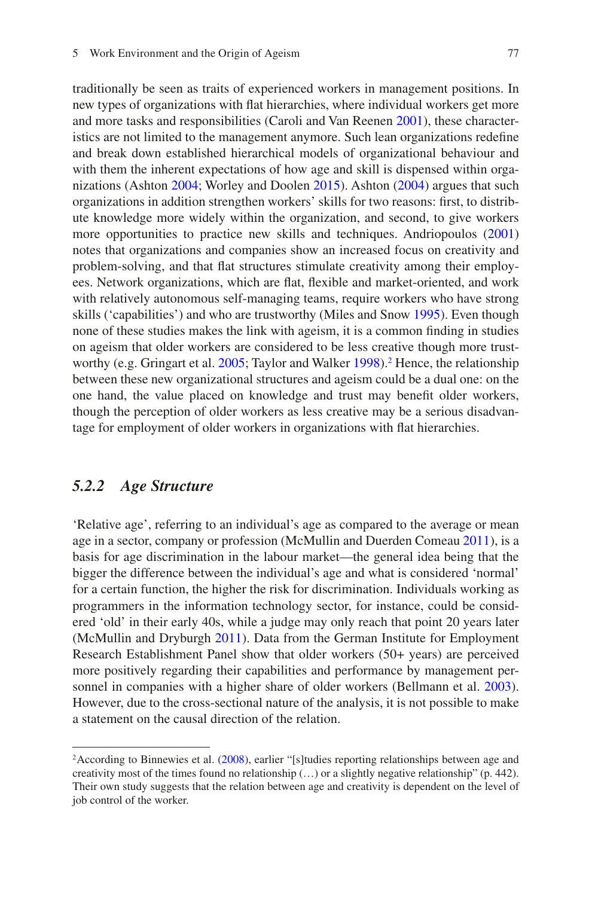traditionally be seen as traits of experienced workers in management positions. In new types of organizations with flat hierarchies, where individual workers get more and more tasks and responsibilities (Caroli and Van Reenen [2001](#page-14-6)), these characteristics are not limited to the management anymore. Such lean organizations redefine and break down established hierarchical models of organizational behaviour and with them the inherent expectations of how age and skill is dispensed within organizations (Ashton [2004](#page-13-6); Worley and Doolen [2015\)](#page-17-3). Ashton [\(2004](#page-13-6)) argues that such organizations in addition strengthen workers' skills for two reasons: first, to distribute knowledge more widely within the organization, and second, to give workers more opportunities to practice new skills and techniques. Andriopoulos [\(2001](#page-13-7)) notes that organizations and companies show an increased focus on creativity and problem-solving, and that flat structures stimulate creativity among their employees. Network organizations, which are flat, flexible and market-oriented, and work with relatively autonomous self-managing teams, require workers who have strong skills ('capabilities') and who are trustworthy (Miles and Snow [1995](#page-15-5)). Even though none of these studies makes the link with ageism, it is a common finding in studies on ageism that older workers are considered to be less creative though more trust-worthy (e.g. Gringart et al. [2005](#page-14-7); Taylor and Walker [1998](#page-16-7)).<sup>2</sup> Hence, the relationship between these new organizational structures and ageism could be a dual one: on the one hand, the value placed on knowledge and trust may benefit older workers, though the perception of older workers as less creative may be a serious disadvantage for employment of older workers in organizations with flat hierarchies.

#### *5.2.2 Age Structure*

'Relative age', referring to an individual's age as compared to the average or mean age in a sector, company or profession (McMullin and Duerden Comeau [2011\)](#page-15-6), is a basis for age discrimination in the labour market—the general idea being that the bigger the difference between the individual's age and what is considered 'normal' for a certain function, the higher the risk for discrimination. Individuals working as programmers in the information technology sector, for instance, could be considered 'old' in their early 40s, while a judge may only reach that point 20 years later (McMullin and Dryburgh [2011\)](#page-15-4). Data from the German Institute for Employment Research Establishment Panel show that older workers (50+ years) are perceived more positively regarding their capabilities and performance by management personnel in companies with a higher share of older workers (Bellmann et al. [2003\)](#page-13-8). However, due to the cross-sectional nature of the analysis, it is not possible to make a statement on the causal direction of the relation.

<span id="page-4-0"></span><sup>2</sup>According to Binnewies et al. ([2008\)](#page-13-9), earlier "[s]tudies reporting relationships between age and creativity most of the times found no relationship  $(\ldots)$  or a slightly negative relationship" (p. 442). Their own study suggests that the relation between age and creativity is dependent on the level of job control of the worker.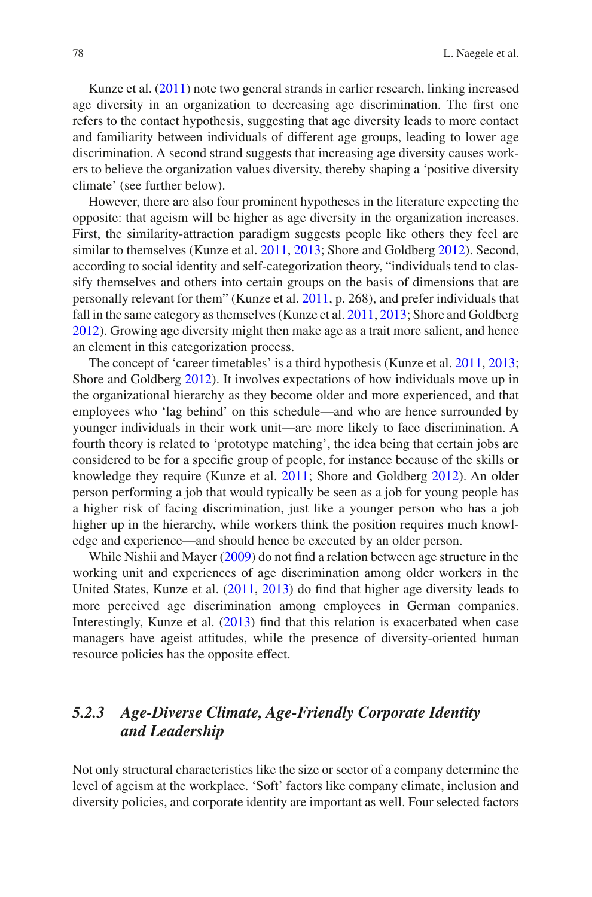Kunze et al. [\(2011](#page-15-1)) note two general strands in earlier research, linking increased age diversity in an organization to decreasing age discrimination. The first one refers to the contact hypothesis, suggesting that age diversity leads to more contact and familiarity between individuals of different age groups, leading to lower age discrimination. A second strand suggests that increasing age diversity causes workers to believe the organization values diversity, thereby shaping a 'positive diversity climate' (see further below).

However, there are also four prominent hypotheses in the literature expecting the opposite: that ageism will be higher as age diversity in the organization increases. First, the similarity-attraction paradigm suggests people like others they feel are similar to themselves (Kunze et al. [2011,](#page-15-1) [2013](#page-15-7); Shore and Goldberg [2012](#page-16-8)). Second, according to social identity and self-categorization theory, "individuals tend to classify themselves and others into certain groups on the basis of dimensions that are personally relevant for them" (Kunze et al. [2011](#page-15-1), p. 268), and prefer individuals that fall in the same category as themselves (Kunze et al. [2011,](#page-15-1) [2013](#page-15-7); Shore and Goldberg [2012\)](#page-16-8). Growing age diversity might then make age as a trait more salient, and hence an element in this categorization process.

The concept of 'career timetables' is a third hypothesis (Kunze et al. [2011](#page-15-1), [2013;](#page-15-7) Shore and Goldberg [2012](#page-16-8)). It involves expectations of how individuals move up in the organizational hierarchy as they become older and more experienced, and that employees who 'lag behind' on this schedule—and who are hence surrounded by younger individuals in their work unit—are more likely to face discrimination. A fourth theory is related to 'prototype matching', the idea being that certain jobs are considered to be for a specific group of people, for instance because of the skills or knowledge they require (Kunze et al. [2011](#page-15-1); Shore and Goldberg [2012\)](#page-16-8). An older person performing a job that would typically be seen as a job for young people has a higher risk of facing discrimination, just like a younger person who has a job higher up in the hierarchy, while workers think the position requires much knowledge and experience—and should hence be executed by an older person.

While Nishii and Mayer ([2009\)](#page-16-9) do not find a relation between age structure in the working unit and experiences of age discrimination among older workers in the United States, Kunze et al. [\(2011](#page-15-1), [2013\)](#page-15-7) do find that higher age diversity leads to more perceived age discrimination among employees in German companies. Interestingly, Kunze et al. [\(2013](#page-15-7)) find that this relation is exacerbated when case managers have ageist attitudes, while the presence of diversity-oriented human resource policies has the opposite effect.

# *5.2.3 Age-Diverse Climate, Age-Friendly Corporate Identity and Leadership*

Not only structural characteristics like the size or sector of a company determine the level of ageism at the workplace. 'Soft' factors like company climate, inclusion and diversity policies, and corporate identity are important as well. Four selected factors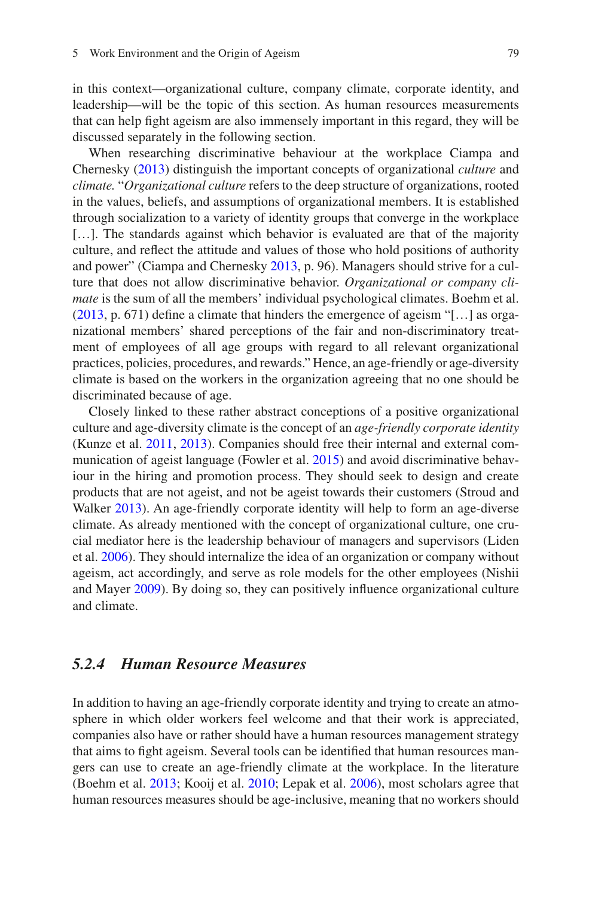in this context—organizational culture, company climate, corporate identity, and leadership—will be the topic of this section. As human resources measurements that can help fight ageism are also immensely important in this regard, they will be discussed separately in the following section.

When researching discriminative behaviour at the workplace Ciampa and Chernesky ([2013\)](#page-14-8) distinguish the important concepts of organizational *culture* and *climate.* "*Organizational culture* refers to the deep structure of organizations, rooted in the values, beliefs, and assumptions of organizational members. It is established through socialization to a variety of identity groups that converge in the workplace [...]. The standards against which behavior is evaluated are that of the majority culture, and reflect the attitude and values of those who hold positions of authority and power" (Ciampa and Chernesky [2013,](#page-14-8) p. 96). Managers should strive for a culture that does not allow discriminative behavior. *Organizational or company climate* is the sum of all the members' individual psychological climates. Boehm et al.  $(2013, p. 671)$  $(2013, p. 671)$  define a climate that hinders the emergence of ageism "[...] as organizational members' shared perceptions of the fair and non-discriminatory treatment of employees of all age groups with regard to all relevant organizational practices, policies, procedures, and rewards." Hence, an age-friendly or age-diversity climate is based on the workers in the organization agreeing that no one should be discriminated because of age.

Closely linked to these rather abstract conceptions of a positive organizational culture and age-diversity climate is the concept of an *age-friendly corporate identity* (Kunze et al. [2011,](#page-15-1) [2013\)](#page-15-7). Companies should free their internal and external communication of ageist language (Fowler et al. [2015](#page-14-9)) and avoid discriminative behaviour in the hiring and promotion process. They should seek to design and create products that are not ageist, and not be ageist towards their customers (Stroud and Walker [2013](#page-16-10)). An age-friendly corporate identity will help to form an age-diverse climate. As already mentioned with the concept of organizational culture, one crucial mediator here is the leadership behaviour of managers and supervisors (Liden et al. [2006](#page-15-8)). They should internalize the idea of an organization or company without ageism, act accordingly, and serve as role models for the other employees (Nishii and Mayer [2009](#page-16-9)). By doing so, they can positively influence organizational culture and climate.

#### *5.2.4 Human Resource Measures*

In addition to having an age-friendly corporate identity and trying to create an atmosphere in which older workers feel welcome and that their work is appreciated, companies also have or rather should have a human resources management strategy that aims to fight ageism. Several tools can be identified that human resources mangers can use to create an age-friendly climate at the workplace. In the literature (Boehm et al. [2013](#page-13-10); Kooij et al. [2010](#page-15-9); Lepak et al. [2006\)](#page-15-10), most scholars agree that human resources measures should be age-inclusive, meaning that no workers should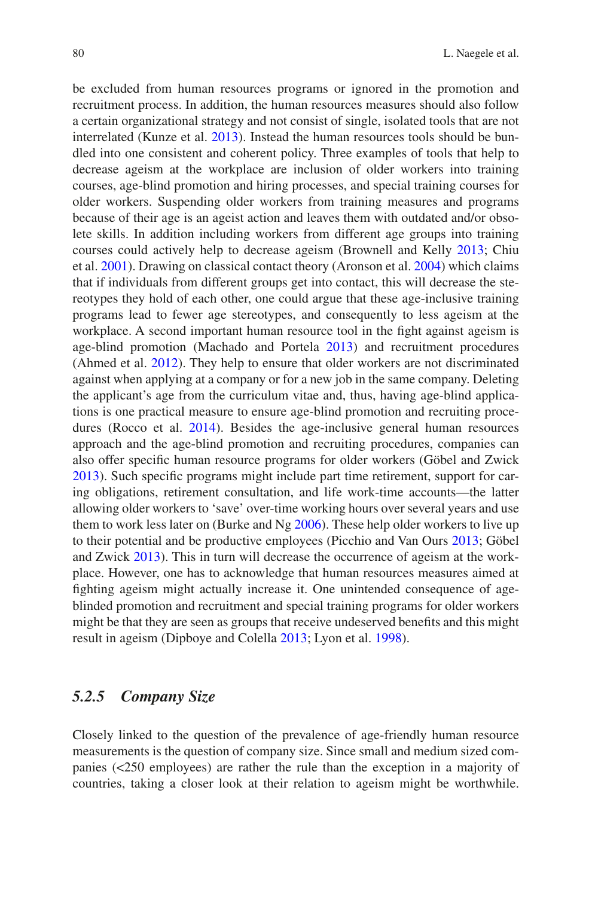be excluded from human resources programs or ignored in the promotion and recruitment process. In addition, the human resources measures should also follow a certain organizational strategy and not consist of single, isolated tools that are not interrelated (Kunze et al. [2013](#page-15-7)). Instead the human resources tools should be bundled into one consistent and coherent policy. Three examples of tools that help to decrease ageism at the workplace are inclusion of older workers into training courses, age-blind promotion and hiring processes, and special training courses for older workers. Suspending older workers from training measures and programs because of their age is an ageist action and leaves them with outdated and/or obsolete skills. In addition including workers from different age groups into training courses could actively help to decrease ageism (Brownell and Kelly [2013;](#page-13-11) Chiu et al. [2001\)](#page-14-10). Drawing on classical contact theory (Aronson et al. [2004](#page-13-12)) which claims that if individuals from different groups get into contact, this will decrease the stereotypes they hold of each other, one could argue that these age-inclusive training programs lead to fewer age stereotypes, and consequently to less ageism at the workplace. A second important human resource tool in the fight against ageism is age-blind promotion (Machado and Portela [2013](#page-15-11)) and recruitment procedures (Ahmed et al. [2012](#page-13-13)). They help to ensure that older workers are not discriminated against when applying at a company or for a new job in the same company. Deleting the applicant's age from the curriculum vitae and, thus, having age-blind applications is one practical measure to ensure age-blind promotion and recruiting proce-dures (Rocco et al. [2014](#page-16-11)). Besides the age-inclusive general human resources approach and the age-blind promotion and recruiting procedures, companies can also offer specific human resource programs for older workers (Göbel and Zwick [2013\)](#page-14-11). Such specific programs might include part time retirement, support for caring obligations, retirement consultation, and life work-time accounts—the latter allowing older workers to 'save' over-time working hours over several years and use them to work less later on (Burke and Ng  $2006$ ). These help older workers to live up to their potential and be productive employees (Picchio and Van Ours [2013;](#page-16-12) Göbel and Zwick [2013](#page-14-11)). This in turn will decrease the occurrence of ageism at the workplace. However, one has to acknowledge that human resources measures aimed at fighting ageism might actually increase it. One unintended consequence of ageblinded promotion and recruitment and special training programs for older workers might be that they are seen as groups that receive undeserved benefits and this might result in ageism (Dipboye and Colella [2013](#page-14-12); Lyon et al. [1998](#page-15-12)).

### *5.2.5 Company Size*

Closely linked to the question of the prevalence of age-friendly human resource measurements is the question of company size. Since small and medium sized companies (<250 employees) are rather the rule than the exception in a majority of countries, taking a closer look at their relation to ageism might be worthwhile.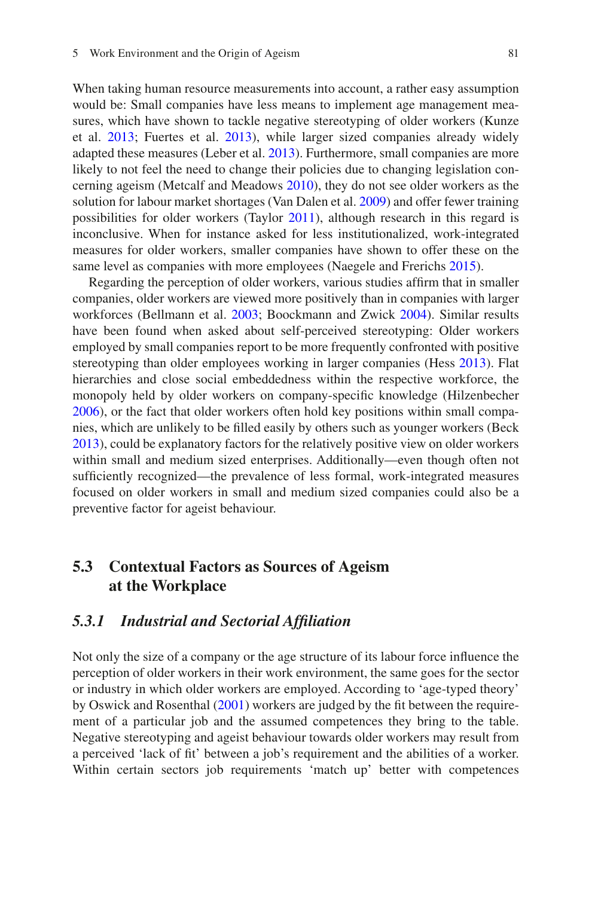When taking human resource measurements into account, a rather easy assumption would be: Small companies have less means to implement age management measures, which have shown to tackle negative stereotyping of older workers (Kunze et al. [2013;](#page-15-7) Fuertes et al. [2013](#page-14-13)), while larger sized companies already widely adapted these measures (Leber et al. [2013](#page-15-13)). Furthermore, small companies are more likely to not feel the need to change their policies due to changing legislation concerning ageism (Metcalf and Meadows [2010\)](#page-15-14), they do not see older workers as the solution for labour market shortages (Van Dalen et al. [2009\)](#page-17-4) and offer fewer training possibilities for older workers (Taylor [2011](#page-16-13)), although research in this regard is inconclusive. When for instance asked for less institutionalized, work-integrated measures for older workers, smaller companies have shown to offer these on the same level as companies with more employees (Naegele and Frerichs [2015\)](#page-15-15).

Regarding the perception of older workers, various studies affirm that in smaller companies, older workers are viewed more positively than in companies with larger workforces (Bellmann et al. [2003;](#page-13-8) Boockmann and Zwick [2004](#page-13-15)). Similar results have been found when asked about self-perceived stereotyping: Older workers employed by small companies report to be more frequently confronted with positive stereotyping than older employees working in larger companies (Hess [2013](#page-14-14)). Flat hierarchies and close social embeddedness within the respective workforce, the monopoly held by older workers on company-specific knowledge (Hilzenbecher [2006\)](#page-14-15), or the fact that older workers often hold key positions within small companies, which are unlikely to be filled easily by others such as younger workers (Beck [2013\)](#page-13-16), could be explanatory factors for the relatively positive view on older workers within small and medium sized enterprises. Additionally—even though often not sufficiently recognized—the prevalence of less formal, work-integrated measures focused on older workers in small and medium sized companies could also be a preventive factor for ageist behaviour.

## **5.3 Contextual Factors as Sources of Ageism at the Workplace**

#### *5.3.1 Industrial and Sectorial Affiliation*

Not only the size of a company or the age structure of its labour force influence the perception of older workers in their work environment, the same goes for the sector or industry in which older workers are employed. According to 'age-typed theory' by Oswick and Rosenthal ([2001\)](#page-16-14) workers are judged by the fit between the requirement of a particular job and the assumed competences they bring to the table. Negative stereotyping and ageist behaviour towards older workers may result from a perceived 'lack of fit' between a job's requirement and the abilities of a worker. Within certain sectors job requirements 'match up' better with competences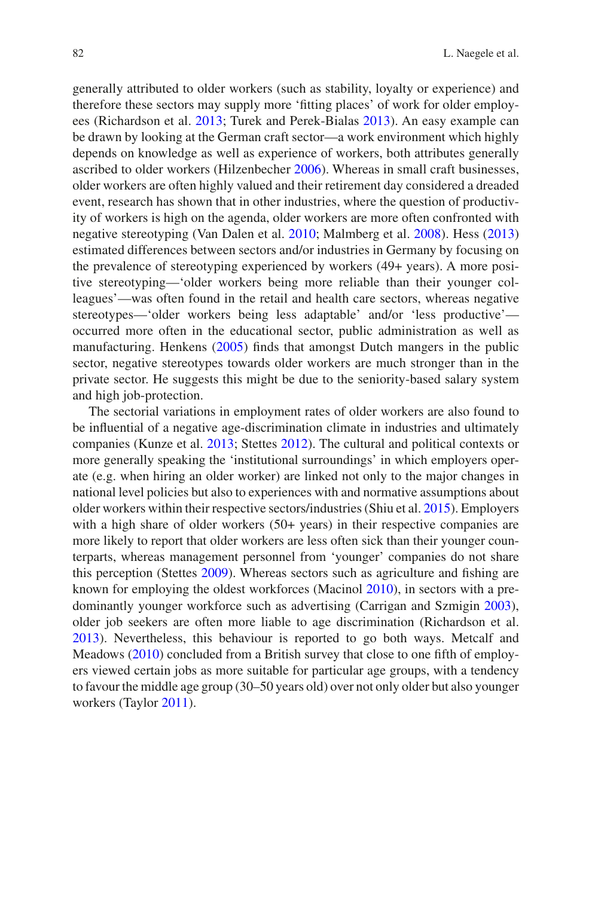generally attributed to older workers (such as stability, loyalty or experience) and therefore these sectors may supply more 'fitting places' of work for older employees (Richardson et al. [2013](#page-16-15); Turek and Perek-Bialas [2013\)](#page-17-5). An easy example can be drawn by looking at the German craft sector—a work environment which highly depends on knowledge as well as experience of workers, both attributes generally ascribed to older workers (Hilzenbecher [2006\)](#page-14-15). Whereas in small craft businesses, older workers are often highly valued and their retirement day considered a dreaded event, research has shown that in other industries, where the question of productivity of workers is high on the agenda, older workers are more often confronted with negative stereotyping (Van Dalen et al. [2010;](#page-17-0) Malmberg et al. [2008\)](#page-15-16). Hess [\(2013](#page-14-14)) estimated differences between sectors and/or industries in Germany by focusing on the prevalence of stereotyping experienced by workers (49+ years). A more positive stereotyping—'older workers being more reliable than their younger colleagues'—was often found in the retail and health care sectors, whereas negative stereotypes—'older workers being less adaptable' and/or 'less productive' occurred more often in the educational sector, public administration as well as manufacturing. Henkens ([2005\)](#page-14-16) finds that amongst Dutch mangers in the public sector, negative stereotypes towards older workers are much stronger than in the private sector. He suggests this might be due to the seniority-based salary system and high job-protection.

The sectorial variations in employment rates of older workers are also found to be influential of a negative age-discrimination climate in industries and ultimately companies (Kunze et al. [2013;](#page-15-7) Stettes [2012\)](#page-16-16). The cultural and political contexts or more generally speaking the 'institutional surroundings' in which employers operate (e.g. when hiring an older worker) are linked not only to the major changes in national level policies but also to experiences with and normative assumptions about older workers within their respective sectors/industries (Shiu et al. [2015\)](#page-16-5). Employers with a high share of older workers (50+ years) in their respective companies are more likely to report that older workers are less often sick than their younger counterparts, whereas management personnel from 'younger' companies do not share this perception (Stettes [2009](#page-16-17)). Whereas sectors such as agriculture and fishing are known for employing the oldest workforces (Macinol [2010](#page-15-17)), in sectors with a predominantly younger workforce such as advertising (Carrigan and Szmigin [2003\)](#page-14-17), older job seekers are often more liable to age discrimination (Richardson et al. [2013\)](#page-16-15). Nevertheless, this behaviour is reported to go both ways. Metcalf and Meadows [\(2010](#page-15-14)) concluded from a British survey that close to one fifth of employers viewed certain jobs as more suitable for particular age groups, with a tendency to favour the middle age group (30–50 years old) over not only older but also younger workers (Taylor [2011](#page-16-13)).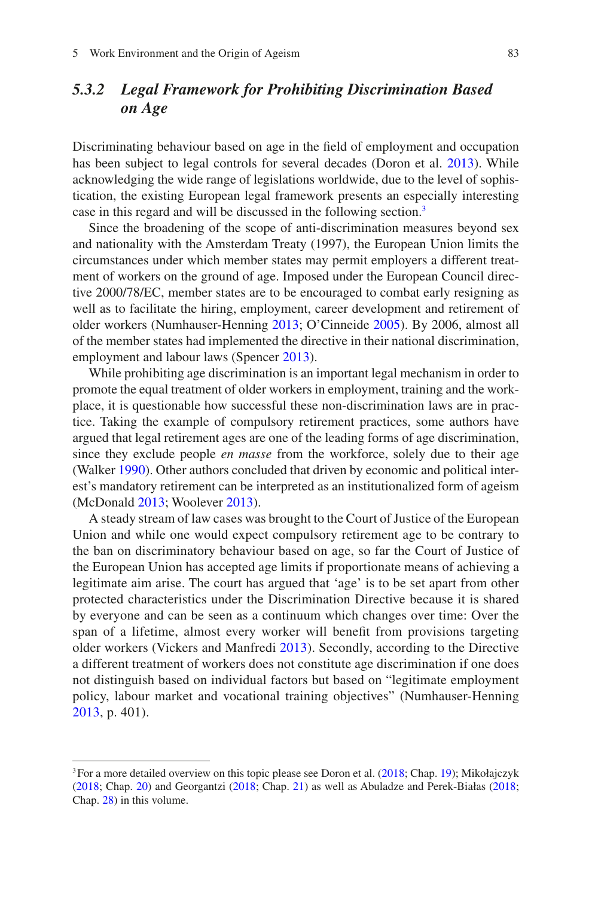# *5.3.2 Legal Framework for Prohibiting Discrimination Based on Age*

Discriminating behaviour based on age in the field of employment and occupation has been subject to legal controls for several decades (Doron et al. [2013](#page-14-18)). While acknowledging the wide range of legislations worldwide, due to the level of sophistication, the existing European legal framework presents an especially interesting case in this regard and will be discussed in the following section[.3](#page-10-0)

Since the broadening of the scope of anti-discrimination measures beyond sex and nationality with the Amsterdam Treaty (1997), the European Union limits the circumstances under which member states may permit employers a different treatment of workers on the ground of age. Imposed under the European Council directive 2000/78/EC, member states are to be encouraged to combat early resigning as well as to facilitate the hiring, employment, career development and retirement of older workers (Numhauser-Henning [2013](#page-16-18); O'Cinneide [2005](#page-16-19)). By 2006, almost all of the member states had implemented the directive in their national discrimination, employment and labour laws (Spencer [2013\)](#page-16-20).

While prohibiting age discrimination is an important legal mechanism in order to promote the equal treatment of older workers in employment, training and the workplace, it is questionable how successful these non-discrimination laws are in practice. Taking the example of compulsory retirement practices, some authors have argued that legal retirement ages are one of the leading forms of age discrimination, since they exclude people *en masse* from the workforce, solely due to their age (Walker [1990\)](#page-17-6). Other authors concluded that driven by economic and political interest's mandatory retirement can be interpreted as an institutionalized form of ageism (McDonald [2013](#page-15-18); Woolever [2013](#page-17-7)).

A steady stream of law cases was brought to the Court of Justice of the European Union and while one would expect compulsory retirement age to be contrary to the ban on discriminatory behaviour based on age, so far the Court of Justice of the European Union has accepted age limits if proportionate means of achieving a legitimate aim arise. The court has argued that 'age' is to be set apart from other protected characteristics under the Discrimination Directive because it is shared by everyone and can be seen as a continuum which changes over time: Over the span of a lifetime, almost every worker will benefit from provisions targeting older workers (Vickers and Manfredi [2013](#page-17-8)). Secondly, according to the Directive a different treatment of workers does not constitute age discrimination if one does not distinguish based on individual factors but based on "legitimate employment policy, labour market and vocational training objectives" (Numhauser-Henning [2013](#page-16-18), p. 401).

<span id="page-10-0"></span><sup>&</sup>lt;sup>3</sup> For a more detailed overview on this topic please see Doron et al. [\(2018](#page-14-19); Chap. [19](https://doi.org/10.1007/978-3-319-73820-8_19)); Mikołajczyk ([2018;](#page-15-19) Chap. [20\)](https://doi.org/10.1007/978-3-319-73820-8_20) and Georgantzi ([2018;](#page-14-20) Chap. [21](https://doi.org/10.1007/978-3-319-73820-8_21)) as well as Abuladze and Perek-Białas [\(2018](#page-13-17); Chap. [28\)](https://doi.org/10.1007/978-3-319-73820-8_28) in this volume.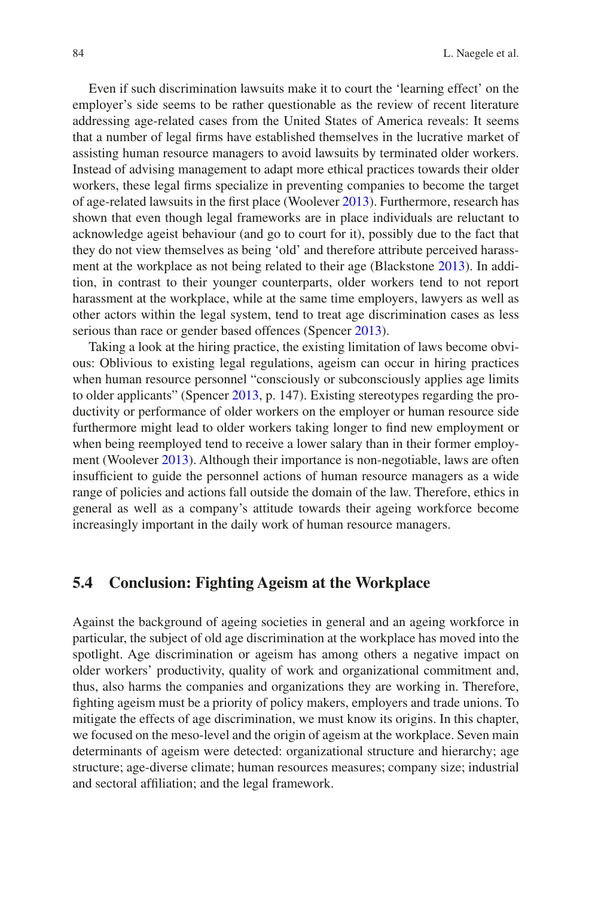Even if such discrimination lawsuits make it to court the 'learning effect' on the employer's side seems to be rather questionable as the review of recent literature addressing age-related cases from the United States of America reveals: It seems that a number of legal firms have established themselves in the lucrative market of assisting human resource managers to avoid lawsuits by terminated older workers. Instead of advising management to adapt more ethical practices towards their older workers, these legal firms specialize in preventing companies to become the target of age-related lawsuits in the first place (Woolever [2013](#page-17-7)). Furthermore, research has shown that even though legal frameworks are in place individuals are reluctant to acknowledge ageist behaviour (and go to court for it), possibly due to the fact that they do not view themselves as being 'old' and therefore attribute perceived harassment at the workplace as not being related to their age (Blackstone [2013](#page-13-18)). In addition, in contrast to their younger counterparts, older workers tend to not report harassment at the workplace, while at the same time employers, lawyers as well as other actors within the legal system, tend to treat age discrimination cases as less serious than race or gender based offences (Spencer [2013\)](#page-16-20).

Taking a look at the hiring practice, the existing limitation of laws become obvious: Oblivious to existing legal regulations, ageism can occur in hiring practices when human resource personnel "consciously or subconsciously applies age limits to older applicants" (Spencer [2013](#page-16-20), p. 147). Existing stereotypes regarding the productivity or performance of older workers on the employer or human resource side furthermore might lead to older workers taking longer to find new employment or when being reemployed tend to receive a lower salary than in their former employment (Woolever [2013](#page-17-7)). Although their importance is non-negotiable, laws are often insufficient to guide the personnel actions of human resource managers as a wide range of policies and actions fall outside the domain of the law. Therefore, ethics in general as well as a company's attitude towards their ageing workforce become increasingly important in the daily work of human resource managers.

#### **5.4 Conclusion: Fighting Ageism at the Workplace**

Against the background of ageing societies in general and an ageing workforce in particular, the subject of old age discrimination at the workplace has moved into the spotlight. Age discrimination or ageism has among others a negative impact on older workers' productivity, quality of work and organizational commitment and, thus, also harms the companies and organizations they are working in. Therefore, fighting ageism must be a priority of policy makers, employers and trade unions. To mitigate the effects of age discrimination, we must know its origins. In this chapter, we focused on the meso-level and the origin of ageism at the workplace. Seven main determinants of ageism were detected: organizational structure and hierarchy; age structure; age-diverse climate; human resources measures; company size; industrial and sectoral affiliation; and the legal framework.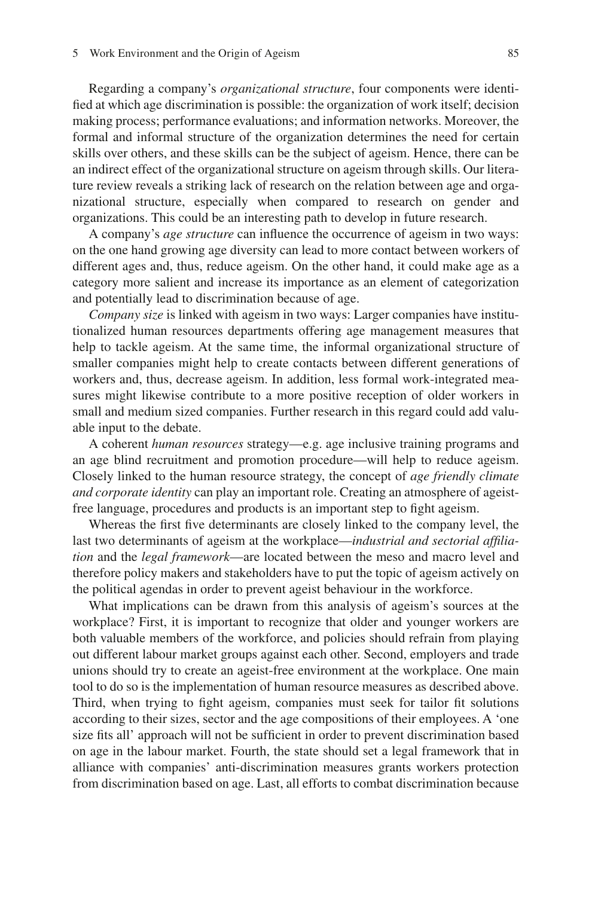Regarding a company's *organizational structure*, four components were identified at which age discrimination is possible: the organization of work itself; decision making process; performance evaluations; and information networks. Moreover, the formal and informal structure of the organization determines the need for certain skills over others, and these skills can be the subject of ageism. Hence, there can be an indirect effect of the organizational structure on ageism through skills. Our literature review reveals a striking lack of research on the relation between age and organizational structure, especially when compared to research on gender and organizations. This could be an interesting path to develop in future research.

A company's *age structure* can influence the occurrence of ageism in two ways: on the one hand growing age diversity can lead to more contact between workers of different ages and, thus, reduce ageism. On the other hand, it could make age as a category more salient and increase its importance as an element of categorization and potentially lead to discrimination because of age.

*Company size* is linked with ageism in two ways: Larger companies have institutionalized human resources departments offering age management measures that help to tackle ageism. At the same time, the informal organizational structure of smaller companies might help to create contacts between different generations of workers and, thus, decrease ageism. In addition, less formal work-integrated measures might likewise contribute to a more positive reception of older workers in small and medium sized companies. Further research in this regard could add valuable input to the debate.

A coherent *human resources* strategy—e.g. age inclusive training programs and an age blind recruitment and promotion procedure—will help to reduce ageism. Closely linked to the human resource strategy, the concept of *age friendly climate and corporate identity* can play an important role. Creating an atmosphere of ageistfree language, procedures and products is an important step to fight ageism.

Whereas the first five determinants are closely linked to the company level, the last two determinants of ageism at the workplace—*industrial and sectorial affiliation* and the *legal framework*—are located between the meso and macro level and therefore policy makers and stakeholders have to put the topic of ageism actively on the political agendas in order to prevent ageist behaviour in the workforce.

What implications can be drawn from this analysis of ageism's sources at the workplace? First, it is important to recognize that older and younger workers are both valuable members of the workforce, and policies should refrain from playing out different labour market groups against each other. Second, employers and trade unions should try to create an ageist-free environment at the workplace. One main tool to do so is the implementation of human resource measures as described above. Third, when trying to fight ageism, companies must seek for tailor fit solutions according to their sizes, sector and the age compositions of their employees. A 'one size fits all' approach will not be sufficient in order to prevent discrimination based on age in the labour market. Fourth, the state should set a legal framework that in alliance with companies' anti-discrimination measures grants workers protection from discrimination based on age. Last, all efforts to combat discrimination because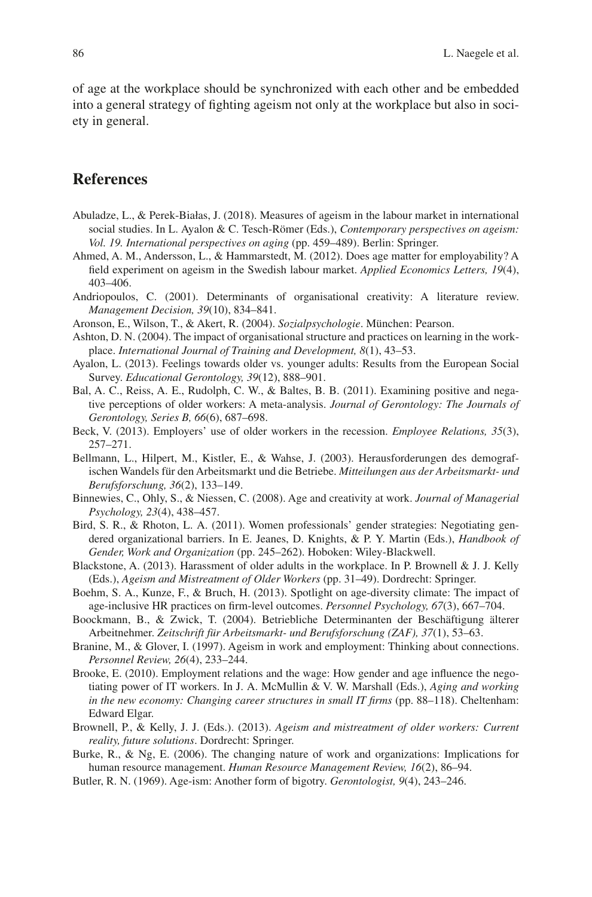of age at the workplace should be synchronized with each other and be embedded into a general strategy of fighting ageism not only at the workplace but also in society in general.

### **References**

- <span id="page-13-17"></span>Abuladze, L., & Perek-Białas, J. (2018). Measures of ageism in the labour market in international social studies. In L. Ayalon & C. Tesch-Römer (Eds.), *Contemporary perspectives on ageism: Vol. 19. International perspectives on aging* (pp. 459–489). Berlin: Springer.
- <span id="page-13-13"></span>Ahmed, A. M., Andersson, L., & Hammarstedt, M. (2012). Does age matter for employability? A field experiment on ageism in the Swedish labour market. *Applied Economics Letters, 19*(4), 403–406.
- <span id="page-13-7"></span>Andriopoulos, C. (2001). Determinants of organisational creativity: A literature review. *Management Decision, 39*(10), 834–841.
- <span id="page-13-12"></span>Aronson, E., Wilson, T., & Akert, R. (2004). *Sozialpsychologie*. München: Pearson.
- <span id="page-13-6"></span>Ashton, D. N. (2004). The impact of organisational structure and practices on learning in the workplace. *International Journal of Training and Development, 8*(1), 43–53.
- <span id="page-13-2"></span>Ayalon, L. (2013). Feelings towards older vs. younger adults: Results from the European Social Survey. *Educational Gerontology, 39*(12), 888–901.
- <span id="page-13-0"></span>Bal, A. C., Reiss, A. E., Rudolph, C. W., & Baltes, B. B. (2011). Examining positive and negative perceptions of older workers: A meta-analysis. *Journal of Gerontology: The Journals of Gerontology, Series B, 66*(6), 687–698.
- <span id="page-13-16"></span>Beck, V. (2013). Employers' use of older workers in the recession. *Employee Relations, 35*(3), 257–271.
- <span id="page-13-8"></span>Bellmann, L., Hilpert, M., Kistler, E., & Wahse, J. (2003). Herausforderungen des demografischen Wandels für den Arbeitsmarkt und die Betriebe. *Mitteilungen aus der Arbeitsmarkt- und Berufsforschung, 36*(2), 133–149.
- <span id="page-13-9"></span>Binnewies, C., Ohly, S., & Niessen, C. (2008). Age and creativity at work. *Journal of Managerial Psychology, 23*(4), 438–457.
- <span id="page-13-5"></span>Bird, S. R., & Rhoton, L. A. (2011). Women professionals' gender strategies: Negotiating gendered organizational barriers. In E. Jeanes, D. Knights, & P. Y. Martin (Eds.), *Handbook of Gender, Work and Organization* (pp. 245–262). Hoboken: Wiley-Blackwell.
- <span id="page-13-18"></span>Blackstone, A. (2013). Harassment of older adults in the workplace. In P. Brownell & J. J. Kelly (Eds.), *Ageism and Mistreatment of Older Workers* (pp. 31–49). Dordrecht: Springer.
- <span id="page-13-10"></span>Boehm, S. A., Kunze, F., & Bruch, H. (2013). Spotlight on age-diversity climate: The impact of age-inclusive HR practices on firm-level outcomes. *Personnel Psychology, 67*(3), 667–704.
- <span id="page-13-15"></span>Boockmann, B., & Zwick, T. (2004). Betriebliche Determinanten der Beschäftigung älterer Arbeitnehmer. *Zeitschrift für Arbeitsmarkt- und Berufsforschung (ZAF), 37*(1), 53–63.
- <span id="page-13-3"></span>Branine, M., & Glover, I. (1997). Ageism in work and employment: Thinking about connections. *Personnel Review, 26*(4), 233–244.
- <span id="page-13-4"></span>Brooke, E. (2010). Employment relations and the wage: How gender and age influence the negotiating power of IT workers. In J. A. McMullin & V. W. Marshall (Eds.), *Aging and working in the new economy: Changing career structures in small IT firms* (pp. 88–118). Cheltenham: Edward Elgar.
- <span id="page-13-11"></span>Brownell, P., & Kelly, J. J. (Eds.). (2013). *Ageism and mistreatment of older workers: Current reality, future solutions*. Dordrecht: Springer.
- <span id="page-13-14"></span>Burke, R., & Ng, E. (2006). The changing nature of work and organizations: Implications for human resource management. *Human Resource Management Review, 16*(2), 86–94.
- <span id="page-13-1"></span>Butler, R. N. (1969). Age-ism: Another form of bigotry. *Gerontologist, 9*(4), 243–246.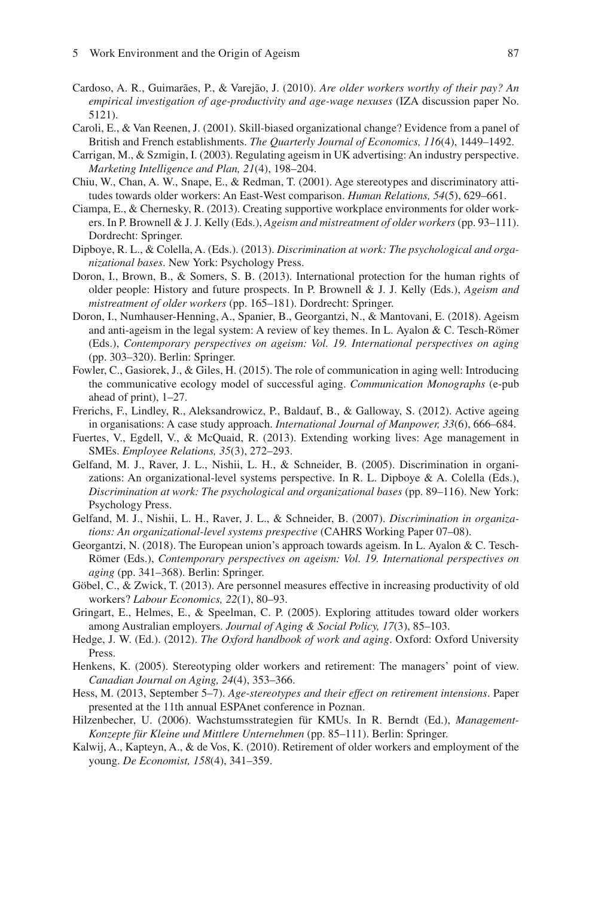- <span id="page-14-2"></span>Cardoso, A. R., Guimarães, P., & Varejão, J. (2010). *Are older workers worthy of their pay? An empirical investigation of age-productivity and age-wage nexuses* (IZA discussion paper No. 5121).
- <span id="page-14-6"></span>Caroli, E., & Van Reenen, J. (2001). Skill-biased organizational change? Evidence from a panel of British and French establishments. *The Quarterly Journal of Economics, 116*(4), 1449–1492.
- <span id="page-14-17"></span>Carrigan, M., & Szmigin, I. (2003). Regulating ageism in UK advertising: An industry perspective. *Marketing Intelligence and Plan, 21*(4), 198–204.
- <span id="page-14-10"></span>Chiu, W., Chan, A. W., Snape, E., & Redman, T. (2001). Age stereotypes and discriminatory attitudes towards older workers: An East-West comparison. *Human Relations, 54*(5), 629–661.
- <span id="page-14-8"></span>Ciampa, E., & Chernesky, R. (2013). Creating supportive workplace environments for older workers. In P. Brownell & J. J. Kelly (Eds.), *Ageism and mistreatment of older workers* (pp. 93–111). Dordrecht: Springer.
- <span id="page-14-12"></span>Dipboye, R. L., & Colella, A. (Eds.). (2013). *Discrimination at work: The psychological and organizational bases*. New York: Psychology Press.
- <span id="page-14-18"></span>Doron, I., Brown, B., & Somers, S. B. (2013). International protection for the human rights of older people: History and future prospects. In P. Brownell & J. J. Kelly (Eds.), *Ageism and mistreatment of older workers* (pp. 165–181). Dordrecht: Springer.
- <span id="page-14-19"></span>Doron, I., Numhauser-Henning, A., Spanier, B., Georgantzi, N., & Mantovani, E. (2018). Ageism and anti-ageism in the legal system: A review of key themes. In L. Ayalon & C. Tesch-Römer (Eds.), *Contemporary perspectives on ageism: Vol. 19. International perspectives on aging* (pp. 303–320). Berlin: Springer.
- <span id="page-14-9"></span>Fowler, C., Gasiorek, J., & Giles, H. (2015). The role of communication in aging well: Introducing the communicative ecology model of successful aging. *Communication Monographs* (e-pub ahead of print), 1–27.
- <span id="page-14-3"></span>Frerichs, F., Lindley, R., Aleksandrowicz, P., Baldauf, B., & Galloway, S. (2012). Active ageing in organisations: A case study approach. *International Journal of Manpower, 33*(6), 666–684.
- <span id="page-14-13"></span>Fuertes, V., Egdell, V., & McQuaid, R. (2013). Extending working lives: Age management in SMEs. *Employee Relations, 35*(3), 272–293.
- <span id="page-14-5"></span>Gelfand, M. J., Raver, J. L., Nishii, L. H., & Schneider, B. (2005). Discrimination in organizations: An organizational-level systems perspective. In R. L. Dipboye & A. Colella (Eds.), *Discrimination at work: The psychological and organizational bases* (pp. 89–116). New York: Psychology Press.
- <span id="page-14-4"></span>Gelfand, M. J., Nishii, L. H., Raver, J. L., & Schneider, B. (2007). *Discrimination in organizations: An organizational-level systems prespective* (CAHRS Working Paper 07–08).
- <span id="page-14-20"></span>Georgantzi, N. (2018). The European union's approach towards ageism. In L. Ayalon & C. Tesch-Römer (Eds.), *Contemporary perspectives on ageism: Vol. 19. International perspectives on aging* (pp. 341–368). Berlin: Springer.
- <span id="page-14-11"></span>Göbel, C., & Zwick, T. (2013). Are personnel measures effective in increasing productivity of old workers? *Labour Economics, 22*(1), 80–93.
- <span id="page-14-7"></span>Gringart, E., Helmes, E., & Speelman, C. P. (2005). Exploring attitudes toward older workers among Australian employers. *Journal of Aging & Social Policy, 17*(3), 85–103.
- <span id="page-14-0"></span>Hedge, J. W. (Ed.). (2012). *The Oxford handbook of work and aging*. Oxford: Oxford University Press.
- <span id="page-14-16"></span>Henkens, K. (2005). Stereotyping older workers and retirement: The managers' point of view. *Canadian Journal on Aging, 24*(4), 353–366.
- <span id="page-14-14"></span>Hess, M. (2013, September 5–7). *Age-stereotypes and their effect on retirement intensions*. Paper presented at the 11th annual ESPAnet conference in Poznan.
- <span id="page-14-15"></span>Hilzenbecher, U. (2006). Wachstumsstrategien für KMUs. In R. Berndt (Ed.), *Management-Konzepte für Kleine und Mittlere Unternehmen* (pp. 85–111). Berlin: Springer.
- <span id="page-14-1"></span>Kalwij, A., Kapteyn, A., & de Vos, K. (2010). Retirement of older workers and employment of the young. *De Economist, 158*(4), 341–359.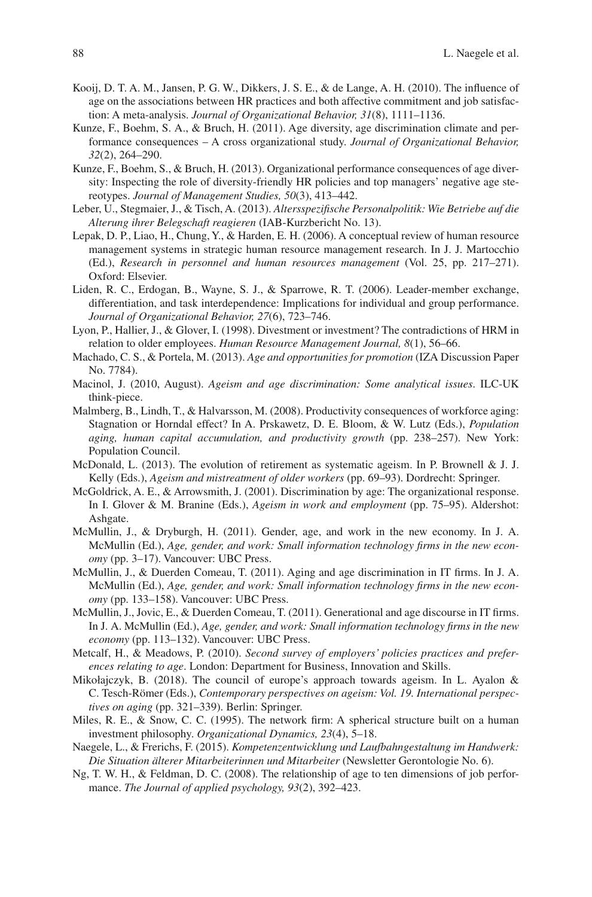- <span id="page-15-9"></span>Kooij, D. T. A. M., Jansen, P. G. W., Dikkers, J. S. E., & de Lange, A. H. (2010). The influence of age on the associations between HR practices and both affective commitment and job satisfaction: A meta-analysis. *Journal of Organizational Behavior, 31*(8), 1111–1136.
- <span id="page-15-1"></span>Kunze, F., Boehm, S. A., & Bruch, H. (2011). Age diversity, age discrimination climate and performance consequences – A cross organizational study. *Journal of Organizational Behavior, 32*(2), 264–290.
- <span id="page-15-7"></span>Kunze, F., Boehm, S., & Bruch, H. (2013). Organizational performance consequences of age diversity: Inspecting the role of diversity-friendly HR policies and top managers' negative age stereotypes. *Journal of Management Studies, 50*(3), 413–442.
- <span id="page-15-13"></span>Leber, U., Stegmaier, J., & Tisch, A. (2013). *Altersspezifische Personalpolitik: Wie Betriebe auf die Alterung ihrer Belegschaft reagieren* (IAB-Kurzbericht No. 13).
- <span id="page-15-10"></span>Lepak, D. P., Liao, H., Chung, Y., & Harden, E. H. (2006). A conceptual review of human resource management systems in strategic human resource management research. In J. J. Martocchio (Ed.), *Research in personnel and human resources management* (Vol. 25, pp. 217–271). Oxford: Elsevier.
- <span id="page-15-8"></span>Liden, R. C., Erdogan, B., Wayne, S. J., & Sparrowe, R. T. (2006). Leader-member exchange, differentiation, and task interdependence: Implications for individual and group performance. *Journal of Organizational Behavior, 27*(6), 723–746.
- <span id="page-15-12"></span>Lyon, P., Hallier, J., & Glover, I. (1998). Divestment or investment? The contradictions of HRM in relation to older employees. *Human Resource Management Journal, 8*(1), 56–66.
- <span id="page-15-11"></span>Machado, C. S., & Portela, M. (2013). *Age and opportunities for promotion* (IZA Discussion Paper No. 7784).
- <span id="page-15-17"></span>Macinol, J. (2010, August). *Ageism and age discrimination: Some analytical issues*. ILC-UK think-piece.
- <span id="page-15-16"></span>Malmberg, B., Lindh, T., & Halvarsson, M. (2008). Productivity consequences of workforce aging: Stagnation or Horndal effect? In A. Prskawetz, D. E. Bloom, & W. Lutz (Eds.), *Population aging, human capital accumulation, and productivity growth* (pp. 238–257). New York: Population Council.
- <span id="page-15-18"></span>McDonald, L. (2013). The evolution of retirement as systematic ageism. In P. Brownell & J. J. Kelly (Eds.), *Ageism and mistreatment of older workers* (pp. 69–93). Dordrecht: Springer.
- <span id="page-15-2"></span>McGoldrick, A. E., & Arrowsmith, J. (2001). Discrimination by age: The organizational response. In I. Glover & M. Branine (Eds.), *Ageism in work and employment* (pp. 75–95). Aldershot: Ashgate.
- <span id="page-15-4"></span>McMullin, J., & Dryburgh, H. (2011). Gender, age, and work in the new economy. In J. A. McMullin (Ed.), *Age, gender, and work: Small information technology firms in the new economy* (pp. 3–17). Vancouver: UBC Press.
- <span id="page-15-6"></span>McMullin, J., & Duerden Comeau, T. (2011). Aging and age discrimination in IT firms. In J. A. McMullin (Ed.), *Age, gender, and work: Small information technology firms in the new economy* (pp. 133–158). Vancouver: UBC Press.
- <span id="page-15-3"></span>McMullin, J., Jovic, E., & Duerden Comeau, T. (2011). Generational and age discourse in IT firms. In J. A. McMullin (Ed.), *Age, gender, and work: Small information technology firms in the new economy* (pp. 113–132). Vancouver: UBC Press.
- <span id="page-15-14"></span>Metcalf, H., & Meadows, P. (2010). *Second survey of employers' policies practices and preferences relating to age*. London: Department for Business, Innovation and Skills.
- <span id="page-15-19"></span>Mikołajczyk, B. (2018). The council of europe's approach towards ageism. In L. Ayalon & C. Tesch-Römer (Eds.), *Contemporary perspectives on ageism: Vol. 19. International perspectives on aging* (pp. 321–339). Berlin: Springer.
- <span id="page-15-5"></span>Miles, R. E., & Snow, C. C. (1995). The network firm: A spherical structure built on a human investment philosophy. *Organizational Dynamics, 23*(4), 5–18.
- <span id="page-15-15"></span>Naegele, L., & Frerichs, F. (2015). *Kompetenzentwicklung und Laufbahngestaltung im Handwerk: Die Situation älterer Mitarbeiterinnen und Mitarbeiter* (Newsletter Gerontologie No. 6).
- <span id="page-15-0"></span>Ng, T. W. H., & Feldman, D. C. (2008). The relationship of age to ten dimensions of job performance. *The Journal of applied psychology, 93*(2), 392–423.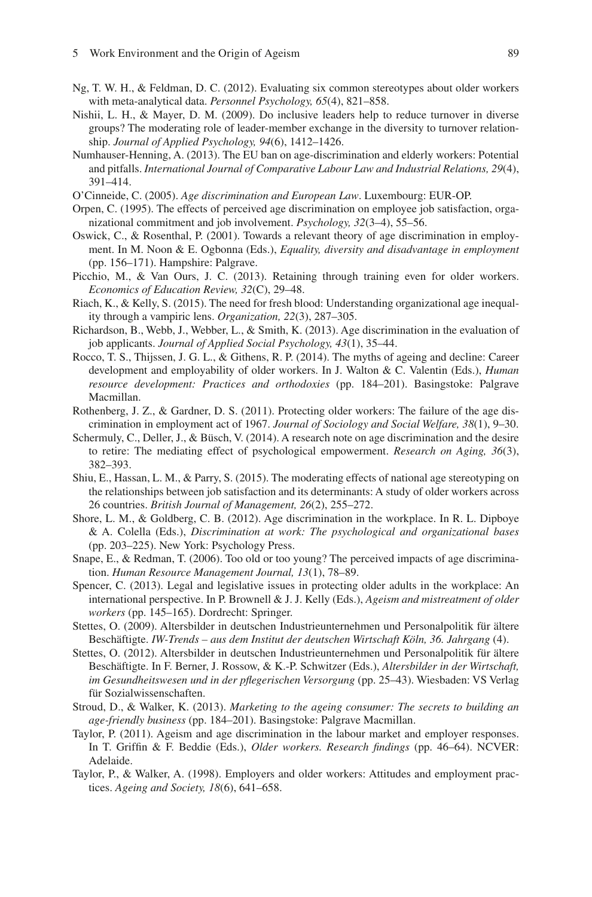- <span id="page-16-0"></span>Ng, T. W. H., & Feldman, D. C. (2012). Evaluating six common stereotypes about older workers with meta-analytical data. *Personnel Psychology, 65*(4), 821–858.
- <span id="page-16-9"></span>Nishii, L. H., & Mayer, D. M. (2009). Do inclusive leaders help to reduce turnover in diverse groups? The moderating role of leader-member exchange in the diversity to turnover relationship. *Journal of Applied Psychology, 94*(6), 1412–1426.
- <span id="page-16-18"></span>Numhauser-Henning, A. (2013). The EU ban on age-discrimination and elderly workers: Potential and pitfalls. *International Journal of Comparative Labour Law and Industrial Relations, 29*(4), 391–414.
- <span id="page-16-19"></span>O'Cinneide, C. (2005). *Age discrimination and European Law*. Luxembourg: EUR-OP.
- <span id="page-16-4"></span>Orpen, C. (1995). The effects of perceived age discrimination on employee job satisfaction, organizational commitment and job involvement. *Psychology, 32*(3–4), 55–56.
- <span id="page-16-14"></span>Oswick, C., & Rosenthal, P. (2001). Towards a relevant theory of age discrimination in employment. In M. Noon & E. Ogbonna (Eds.), *Equality, diversity and disadvantage in employment* (pp. 156–171). Hampshire: Palgrave.
- <span id="page-16-12"></span>Picchio, M., & Van Ours, J. C. (2013). Retaining through training even for older workers. *Economics of Education Review, 32*(C), 29–48.
- <span id="page-16-6"></span>Riach, K., & Kelly, S. (2015). The need for fresh blood: Understanding organizational age inequality through a vampiric lens. *Organization, 22*(3), 287–305.
- <span id="page-16-15"></span>Richardson, B., Webb, J., Webber, L., & Smith, K. (2013). Age discrimination in the evaluation of job applicants. *Journal of Applied Social Psychology, 43*(1), 35–44.
- <span id="page-16-11"></span>Rocco, T. S., Thijssen, J. G. L., & Githens, R. P. (2014). The myths of ageing and decline: Career development and employability of older workers. In J. Walton & C. Valentin (Eds.), *Human resource development: Practices and orthodoxies* (pp. 184–201). Basingstoke: Palgrave Macmillan.
- <span id="page-16-1"></span>Rothenberg, J. Z., & Gardner, D. S. (2011). Protecting older workers: The failure of the age discrimination in employment act of 1967. *Journal of Sociology and Social Welfare, 38*(1), 9–30.
- <span id="page-16-2"></span>Schermuly, C., Deller, J., & Büsch, V. (2014). A research note on age discrimination and the desire to retire: The mediating effect of psychological empowerment. *Research on Aging, 36*(3), 382–393.
- <span id="page-16-5"></span>Shiu, E., Hassan, L. M., & Parry, S. (2015). The moderating effects of national age stereotyping on the relationships between job satisfaction and its determinants: A study of older workers across 26 countries. *British Journal of Management, 26*(2), 255–272.
- <span id="page-16-8"></span>Shore, L. M., & Goldberg, C. B. (2012). Age discrimination in the workplace. In R. L. Dipboye & A. Colella (Eds.), *Discrimination at work: The psychological and organizational bases* (pp. 203–225). New York: Psychology Press.
- <span id="page-16-3"></span>Snape, E., & Redman, T. (2006). Too old or too young? The perceived impacts of age discrimination. *Human Resource Management Journal, 13*(1), 78–89.
- <span id="page-16-20"></span>Spencer, C. (2013). Legal and legislative issues in protecting older adults in the workplace: An international perspective. In P. Brownell & J. J. Kelly (Eds.), *Ageism and mistreatment of older workers* (pp. 145–165). Dordrecht: Springer.
- <span id="page-16-17"></span>Stettes, O. (2009). Altersbilder in deutschen Industrieunternehmen und Personalpolitik für ältere Beschäftigte. *IW-Trends – aus dem Institut der deutschen Wirtschaft Köln, 36. Jahrgang* (4).
- <span id="page-16-16"></span>Stettes, O. (2012). Altersbilder in deutschen Industrieunternehmen und Personalpolitik für ältere Beschäftigte. In F. Berner, J. Rossow, & K.-P. Schwitzer (Eds.), *Altersbilder in der Wirtschaft, im Gesundheitswesen und in der pflegerischen Versorgung* (pp. 25–43). Wiesbaden: VS Verlag für Sozialwissenschaften.
- <span id="page-16-10"></span>Stroud, D., & Walker, K. (2013). *Marketing to the ageing consumer: The secrets to building an age-friendly business* (pp. 184–201). Basingstoke: Palgrave Macmillan.
- <span id="page-16-13"></span>Taylor, P. (2011). Ageism and age discrimination in the labour market and employer responses. In T. Griffin & F. Beddie (Eds.), *Older workers. Research findings* (pp. 46–64). NCVER: Adelaide.
- <span id="page-16-7"></span>Taylor, P., & Walker, A. (1998). Employers and older workers: Attitudes and employment practices. *Ageing and Society, 18*(6), 641–658.